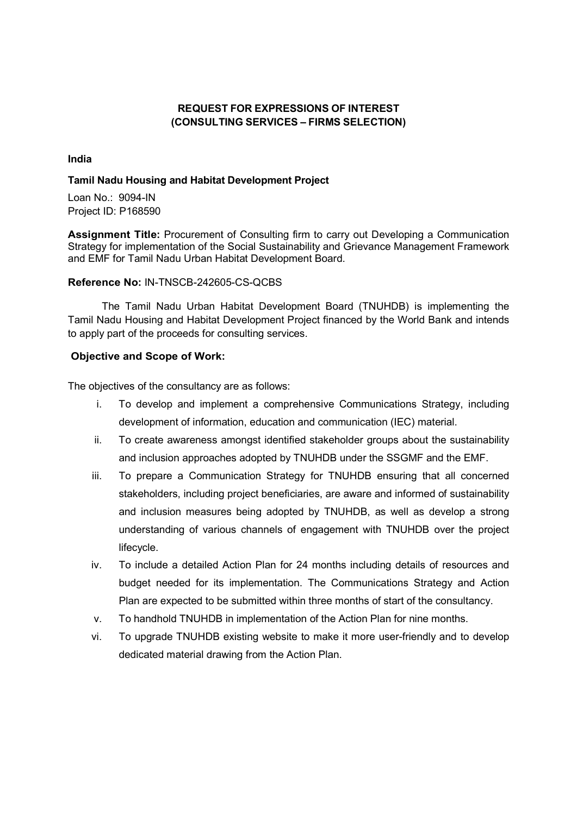# REQUEST FOR EXPRESSIONS OF INTEREST (CONSULTING SERVICES – FIRMS SELECTION)

#### India

### Tamil Nadu Housing and Habitat Development Project

Loan No.: 9094-IN Project ID: P168590

Assignment Title: Procurement of Consulting firm to carry out Developing a Communication Strategy for implementation of the Social Sustainability and Grievance Management Framework and EMF for Tamil Nadu Urban Habitat Development Board.

# Reference No: IN-TNSCB-242605-CS-QCBS

The Tamil Nadu Urban Habitat Development Board (TNUHDB) is implementing the Tamil Nadu Housing and Habitat Development Project financed by the World Bank and intends to apply part of the proceeds for consulting services.

# Objective and Scope of Work:

The objectives of the consultancy are as follows:

- i. To develop and implement a comprehensive Communications Strategy, including development of information, education and communication (IEC) material.
- ii. To create awareness amongst identified stakeholder groups about the sustainability and inclusion approaches adopted by TNUHDB under the SSGMF and the EMF.
- iii. To prepare a Communication Strategy for TNUHDB ensuring that all concerned stakeholders, including project beneficiaries, are aware and informed of sustainability and inclusion measures being adopted by TNUHDB, as well as develop a strong understanding of various channels of engagement with TNUHDB over the project lifecycle.
- iv. To include a detailed Action Plan for 24 months including details of resources and budget needed for its implementation. The Communications Strategy and Action Plan are expected to be submitted within three months of start of the consultancy.
- v. To handhold TNUHDB in implementation of the Action Plan for nine months.
- vi. To upgrade TNUHDB existing website to make it more user-friendly and to develop dedicated material drawing from the Action Plan.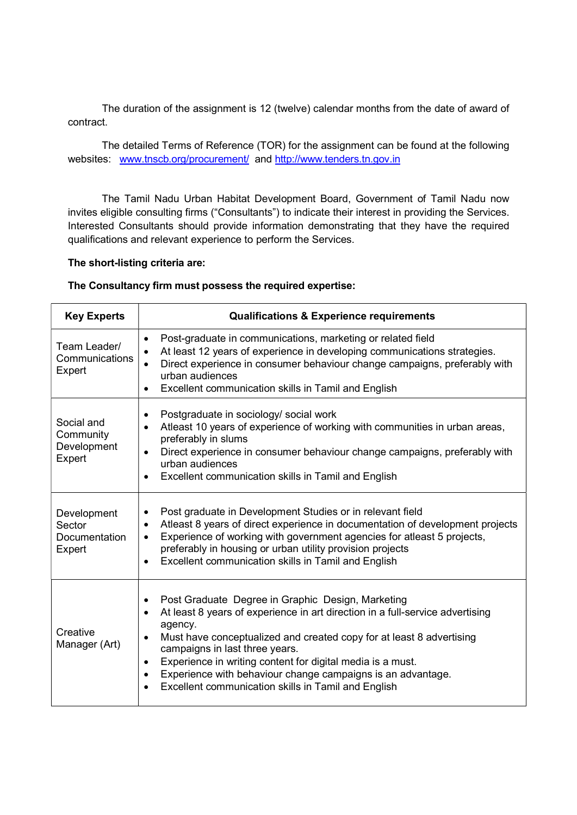The duration of the assignment is 12 (twelve) calendar months from the date of award of contract.

The detailed Terms of Reference (TOR) for the assignment can be found at the following websites: www.tnscb.org/procurement/ and http://www.tenders.tn.gov.in

The Tamil Nadu Urban Habitat Development Board, Government of Tamil Nadu now invites eligible consulting firms ("Consultants") to indicate their interest in providing the Services. Interested Consultants should provide information demonstrating that they have the required qualifications and relevant experience to perform the Services.

# The short-listing criteria are:

#### The Consultancy firm must possess the required expertise:

| <b>Key Experts</b>                               | <b>Qualifications &amp; Experience requirements</b>                                                                                                                                                                                                                                                                                                                                                                                                                                |
|--------------------------------------------------|------------------------------------------------------------------------------------------------------------------------------------------------------------------------------------------------------------------------------------------------------------------------------------------------------------------------------------------------------------------------------------------------------------------------------------------------------------------------------------|
| Team Leader/<br>Communications<br>Expert         | Post-graduate in communications, marketing or related field<br>$\bullet$<br>At least 12 years of experience in developing communications strategies.<br>Direct experience in consumer behaviour change campaigns, preferably with<br>urban audiences<br>Excellent communication skills in Tamil and English<br>$\bullet$                                                                                                                                                           |
| Social and<br>Community<br>Development<br>Expert | Postgraduate in sociology/ social work<br>$\bullet$<br>Atleast 10 years of experience of working with communities in urban areas,<br>preferably in slums<br>Direct experience in consumer behaviour change campaigns, preferably with<br>$\bullet$<br>urban audiences<br>Excellent communication skills in Tamil and English<br>$\bullet$                                                                                                                                          |
| Development<br>Sector<br>Documentation<br>Expert | Post graduate in Development Studies or in relevant field<br>٠<br>Atleast 8 years of direct experience in documentation of development projects<br>$\bullet$<br>Experience of working with government agencies for atleast 5 projects,<br>$\bullet$<br>preferably in housing or urban utility provision projects<br>Excellent communication skills in Tamil and English<br>$\bullet$                                                                                               |
| Creative<br>Manager (Art)                        | Post Graduate Degree in Graphic Design, Marketing<br>$\bullet$<br>At least 8 years of experience in art direction in a full-service advertising<br>$\bullet$<br>agency.<br>Must have conceptualized and created copy for at least 8 advertising<br>campaigns in last three years.<br>Experience in writing content for digital media is a must.<br>$\bullet$<br>Experience with behaviour change campaigns is an advantage.<br>Excellent communication skills in Tamil and English |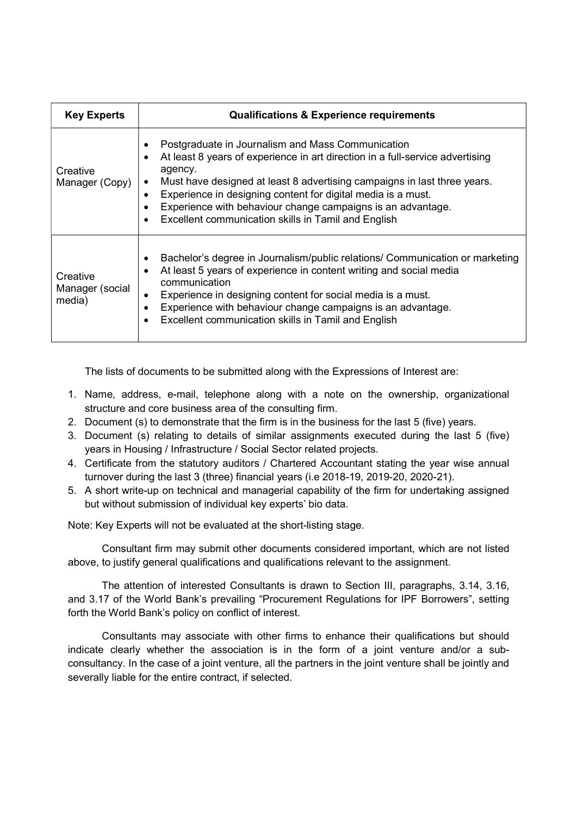| <b>Key Experts</b>                    | <b>Qualifications &amp; Experience requirements</b>                                                                                                                                                                                                                                                                                                                                                             |
|---------------------------------------|-----------------------------------------------------------------------------------------------------------------------------------------------------------------------------------------------------------------------------------------------------------------------------------------------------------------------------------------------------------------------------------------------------------------|
| Creative<br>Manager (Copy)            | Postgraduate in Journalism and Mass Communication<br>At least 8 years of experience in art direction in a full-service advertising<br>agency.<br>Must have designed at least 8 advertising campaigns in last three years.<br>Experience in designing content for digital media is a must.<br>Experience with behaviour change campaigns is an advantage.<br>Excellent communication skills in Tamil and English |
| Creative<br>Manager (social<br>media) | Bachelor's degree in Journalism/public relations/ Communication or marketing<br>At least 5 years of experience in content writing and social media<br>communication<br>Experience in designing content for social media is a must.<br>Experience with behaviour change campaigns is an advantage.<br>Excellent communication skills in Tamil and English                                                        |

The lists of documents to be submitted along with the Expressions of Interest are:

- 1. Name, address, e-mail, telephone along with a note on the ownership, organizational structure and core business area of the consulting firm.
- 2. Document (s) to demonstrate that the firm is in the business for the last 5 (five) years.
- 3. Document (s) relating to details of similar assignments executed during the last 5 (five) years in Housing / Infrastructure / Social Sector related projects.
- 4. Certificate from the statutory auditors / Chartered Accountant stating the year wise annual turnover during the last 3 (three) financial years (i.e 2018-19, 2019-20, 2020-21).
- 5. A short write-up on technical and managerial capability of the firm for undertaking assigned but without submission of individual key experts' bio data.

Note: Key Experts will not be evaluated at the short-listing stage.

Consultant firm may submit other documents considered important, which are not listed above, to justify general qualifications and qualifications relevant to the assignment.

The attention of interested Consultants is drawn to Section III, paragraphs, 3.14, 3.16, and 3.17 of the World Bank's prevailing "Procurement Regulations for IPF Borrowers", setting forth the World Bank's policy on conflict of interest.

Consultants may associate with other firms to enhance their qualifications but should indicate clearly whether the association is in the form of a joint venture and/or a subconsultancy. In the case of a joint venture, all the partners in the joint venture shall be jointly and severally liable for the entire contract, if selected.